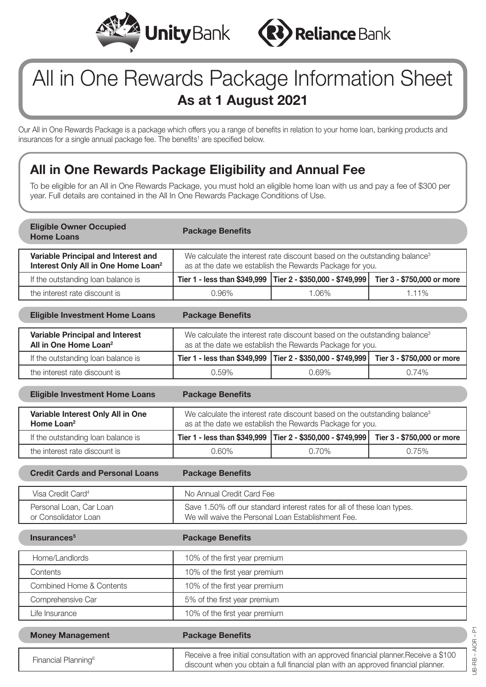



# All in One Rewards Package Information Sheet **As at 1 August 2021**

Our All in One Rewards Package is a package which offers you a range of benefits in relation to your home loan, banking products and insurances for a single annual package fee. The benefits<sup>1</sup> are specified below.

### **All in One Rewards Package Eligibility and Annual Fee**

To be eligible for an All in One Rewards Package, you must hold an eligible home loan with us and pay a fee of \$300 per year. Full details are contained in the All In One Rewards Package Conditions of Use.

| <b>Eligible Owner Occupied</b><br><b>Home Loans</b>                                    | <b>Package Benefits</b>                                                                                                                           |                                                                                                                                                                               |                            |
|----------------------------------------------------------------------------------------|---------------------------------------------------------------------------------------------------------------------------------------------------|-------------------------------------------------------------------------------------------------------------------------------------------------------------------------------|----------------------------|
| Variable Principal and Interest and<br>Interest Only All in One Home Loan <sup>2</sup> | We calculate the interest rate discount based on the outstanding balance <sup>3</sup><br>as at the date we establish the Rewards Package for you. |                                                                                                                                                                               |                            |
| If the outstanding loan balance is                                                     | Tier 1 - less than \$349,999                                                                                                                      | Tier 2 - \$350,000 - \$749,999                                                                                                                                                | Tier 3 - \$750,000 or more |
| the interest rate discount is                                                          | 0.96%                                                                                                                                             | 1.06%                                                                                                                                                                         | 1.11%                      |
| <b>Eligible Investment Home Loans</b>                                                  | <b>Package Benefits</b>                                                                                                                           |                                                                                                                                                                               |                            |
| <b>Variable Principal and Interest</b><br>All in One Home Loan <sup>2</sup>            |                                                                                                                                                   | We calculate the interest rate discount based on the outstanding balance <sup>3</sup><br>as at the date we establish the Rewards Package for you.                             |                            |
| If the outstanding loan balance is                                                     | Tier 1 - less than \$349,999                                                                                                                      | Tier 2 - \$350,000 - \$749,999                                                                                                                                                | Tier 3 - \$750,000 or more |
| the interest rate discount is                                                          | 0.59%                                                                                                                                             | 0.69%                                                                                                                                                                         | 0.74%                      |
| <b>Eligible Investment Home Loans</b>                                                  | <b>Package Benefits</b>                                                                                                                           |                                                                                                                                                                               |                            |
| Variable Interest Only All in One<br>Home Loan <sup>2</sup>                            | We calculate the interest rate discount based on the outstanding balance <sup>3</sup><br>as at the date we establish the Rewards Package for you. |                                                                                                                                                                               |                            |
| If the outstanding loan balance is                                                     | Tier 1 - less than \$349,999                                                                                                                      | Tier 2 - \$350,000 - \$749,999                                                                                                                                                | Tier 3 - \$750,000 or more |
| the interest rate discount is                                                          | 0.60%                                                                                                                                             | 0.70%                                                                                                                                                                         | 0.75%                      |
| <b>Credit Cards and Personal Loans</b>                                                 | <b>Package Benefits</b>                                                                                                                           |                                                                                                                                                                               |                            |
| Visa Credit Card <sup>4</sup>                                                          |                                                                                                                                                   | No Annual Credit Card Fee                                                                                                                                                     |                            |
| Personal Loan, Car Loan<br>or Consolidator Loan                                        |                                                                                                                                                   | Save 1.50% off our standard interest rates for all of these loan types.<br>We will waive the Personal Loan Establishment Fee.                                                 |                            |
| Insurances <sup>5</sup>                                                                | <b>Package Benefits</b>                                                                                                                           |                                                                                                                                                                               |                            |
| Home/Landlords                                                                         | 10% of the first year premium                                                                                                                     |                                                                                                                                                                               |                            |
| Contents                                                                               | 10% of the first year premium                                                                                                                     |                                                                                                                                                                               |                            |
| Combined Home & Contents                                                               |                                                                                                                                                   | 10% of the first year premium                                                                                                                                                 |                            |
| Comprehensive Car                                                                      | 5% of the first year premium                                                                                                                      |                                                                                                                                                                               |                            |
| Life Insurance                                                                         | 10% of the first year premium                                                                                                                     |                                                                                                                                                                               |                            |
| <b>Money Management</b>                                                                | <b>Package Benefits</b>                                                                                                                           |                                                                                                                                                                               |                            |
| Financial Planning <sup>6</sup>                                                        |                                                                                                                                                   | Receive a free initial consultation with an approved financial planner. Receive a \$100<br>discount when you obtain a full financial plan with an approved financial planner. |                            |
|                                                                                        |                                                                                                                                                   |                                                                                                                                                                               |                            |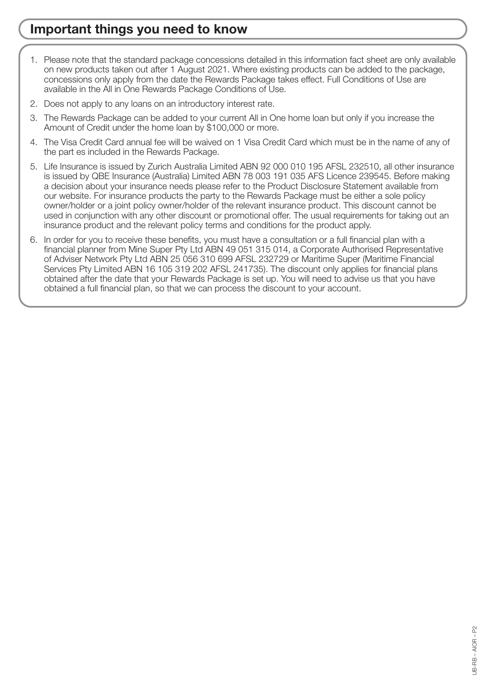#### **Important things you need to know**

- 1. Please note that the standard package concessions detailed in this information fact sheet are only available on new products taken out after 1 August 2021. Where existing products can be added to the package, concessions only apply from the date the Rewards Package takes effect. Full Conditions of Use are available in the All in One Rewards Package Conditions of Use.
- 2. Does not apply to any loans on an introductory interest rate.
- 3. The Rewards Package can be added to your current All in One home loan but only if you increase the Amount of Credit under the home loan by \$100,000 or more.
- 4. The Visa Credit Card annual fee will be waived on 1 Visa Credit Card which must be in the name of any of the part es included in the Rewards Package.
- 5. Life Insurance is issued by Zurich Australia Limited ABN 92 000 010 195 AFSL 232510, all other insurance is issued by QBE Insurance (Australia) Limited ABN 78 003 191 035 AFS Licence 239545. Before making a decision about your insurance needs please refer to the Product Disclosure Statement available from our website. For insurance products the party to the Rewards Package must be either a sole policy owner/holder or a joint policy owner/holder of the relevant insurance product. This discount cannot be used in conjunction with any other discount or promotional offer. The usual requirements for taking out an insurance product and the relevant policy terms and conditions for the product apply.
- 6. In order for you to receive these benefits, you must have a consultation or a full financial plan with a financial planner from Mine Super Pty Ltd ABN 49 051 315 014, a Corporate Authorised Representative of Adviser Network Pty Ltd ABN 25 056 310 699 AFSL 232729 or Maritime Super (Maritime Financial Services Pty Limited ABN 16 105 319 202 AFSL 241735). The discount only applies for financial plans obtained after the date that your Rewards Package is set up. You will need to advise us that you have obtained a full financial plan, so that we can process the discount to your account.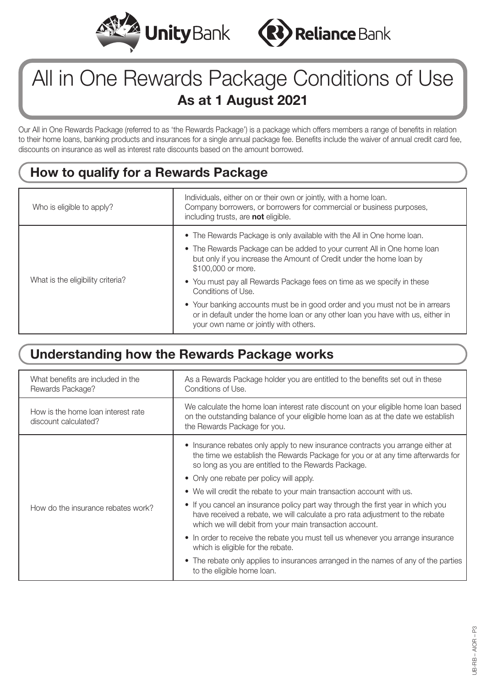



# All in One Rewards Package Conditions of Use **As at 1 August 2021**

Our All in One Rewards Package (referred to as 'the Rewards Package') is a package which offers members a range of benefits in relation to their home loans, banking products and insurances for a single annual package fee. Benefits include the waiver of annual credit card fee, discounts on insurance as well as interest rate discounts based on the amount borrowed.

#### **How to qualify for a Rewards Package**

| Who is eligible to apply?         | Individuals, either on or their own or jointly, with a home loan.<br>Company borrowers, or borrowers for commercial or business purposes,<br>including trusts, are not eligible.                                                                |
|-----------------------------------|-------------------------------------------------------------------------------------------------------------------------------------------------------------------------------------------------------------------------------------------------|
| What is the eligibility criteria? | • The Rewards Package is only available with the All in One home loan.<br>• The Rewards Package can be added to your current All in One home loan<br>but only if you increase the Amount of Credit under the home loan by<br>\$100,000 or more. |
|                                   | • You must pay all Rewards Package fees on time as we specify in these<br>Conditions of Use.                                                                                                                                                    |
|                                   | • Your banking accounts must be in good order and you must not be in arrears<br>or in default under the home loan or any other loan you have with us, either in<br>your own name or jointly with others.                                        |

#### **Understanding how the Rewards Package works**

| What benefits are included in the<br>Rewards Package?      | As a Rewards Package holder you are entitled to the benefits set out in these<br>Conditions of Use.                                                                                                                          |  |
|------------------------------------------------------------|------------------------------------------------------------------------------------------------------------------------------------------------------------------------------------------------------------------------------|--|
| How is the home loan interest rate<br>discount calculated? | We calculate the home loan interest rate discount on your eligible home loan based<br>on the outstanding balance of your eligible home loan as at the date we establish<br>the Rewards Package for you.                      |  |
| How do the insurance rebates work?                         | • Insurance rebates only apply to new insurance contracts you arrange either at<br>the time we establish the Rewards Package for you or at any time afterwards for<br>so long as you are entitled to the Rewards Package.    |  |
|                                                            | • Only one rebate per policy will apply.                                                                                                                                                                                     |  |
|                                                            | • We will credit the rebate to your main transaction account with us.                                                                                                                                                        |  |
|                                                            | • If you cancel an insurance policy part way through the first year in which you<br>have received a rebate, we will calculate a pro rata adjustment to the rebate<br>which we will debit from your main transaction account. |  |
|                                                            | • In order to receive the rebate you must tell us whenever you arrange insurance<br>which is eligible for the rebate.                                                                                                        |  |
|                                                            | • The rebate only applies to insurances arranged in the names of any of the parties<br>to the eligible home loan.                                                                                                            |  |
|                                                            |                                                                                                                                                                                                                              |  |